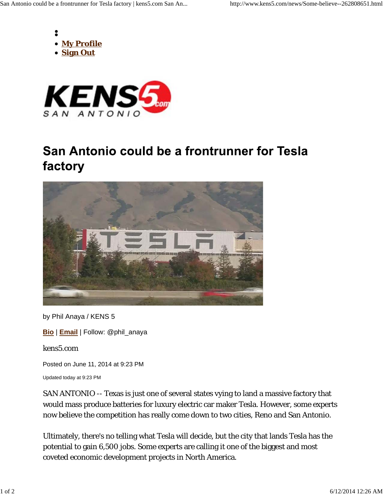



## San Antonio could be a frontrunner for Tesla factory



by Phil Anaya / KENS 5

**Bio** | **Email** | Follow: @phil\_anaya

kens5.com

Posted on June 11, 2014 at 9:23 PM

Updated today at 9:23 PM

SAN ANTONIO -- Texas is just one of several states vying to land a massive factory that would mass produce batteries for luxury electric car maker Tesla. However, some experts now believe the competition has really come down to two cities, Reno and San Antonio.

Ultimately, there's no telling what Tesla will decide, but the city that lands Tesla has the potential to gain 6,500 jobs. Some experts are calling it one of the biggest and most coveted economic development projects in North America.